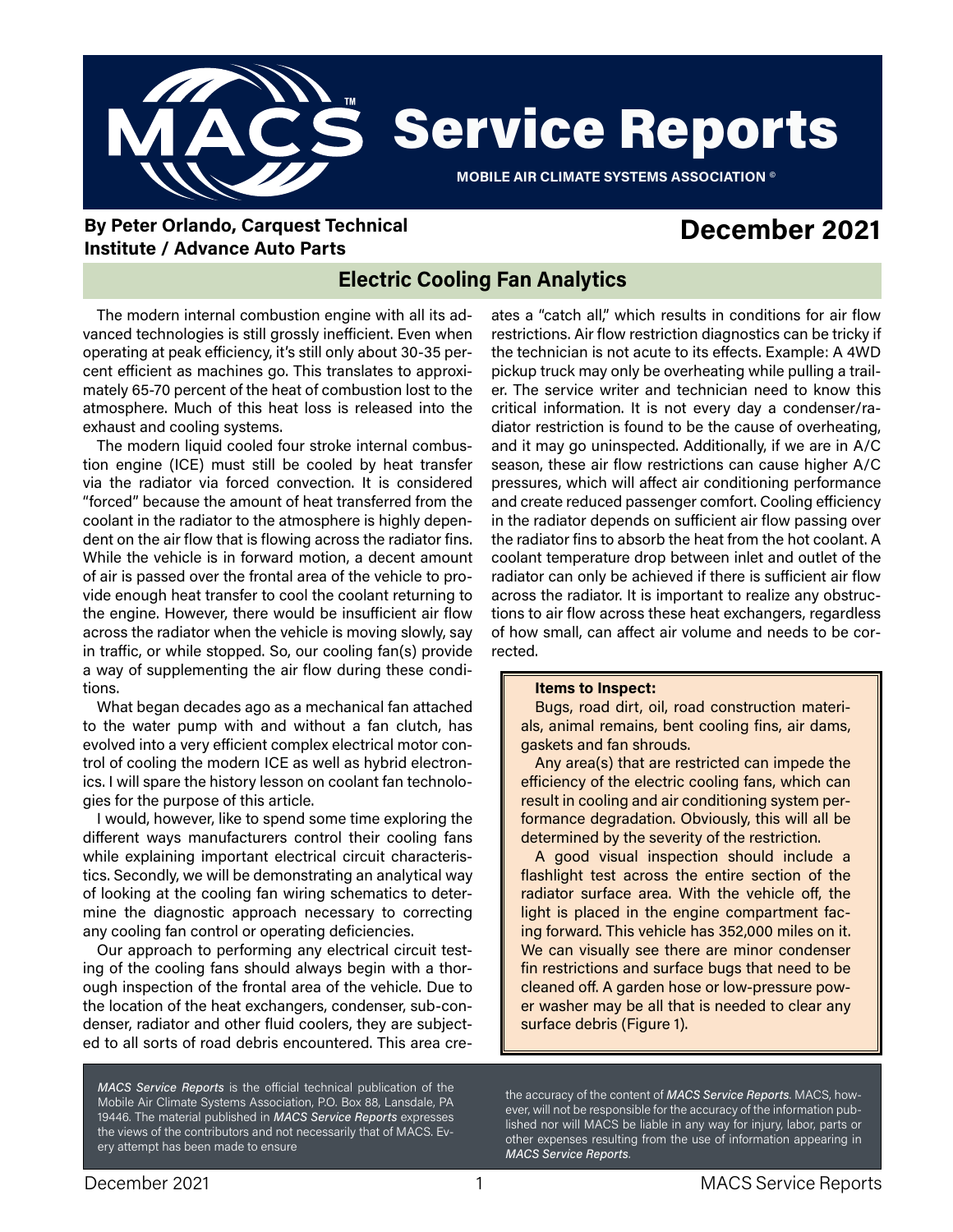

**By Peter Orlando, Carquest Technical Institute / Advance Auto Parts**

# **December 2021**

## **Electric Cooling Fan Analytics**

The modern internal combustion engine with all its advanced technologies is still grossly inefficient. Even when operating at peak efficiency, it's still only about 30-35 percent efficient as machines go. This translates to approximately 65-70 percent of the heat of combustion lost to the atmosphere. Much of this heat loss is released into the exhaust and cooling systems.

The modern liquid cooled four stroke internal combustion engine (ICE) must still be cooled by heat transfer via the radiator via forced convection. It is considered "forced" because the amount of heat transferred from the coolant in the radiator to the atmosphere is highly dependent on the air flow that is flowing across the radiator fins. While the vehicle is in forward motion, a decent amount of air is passed over the frontal area of the vehicle to provide enough heat transfer to cool the coolant returning to the engine. However, there would be insufficient air flow across the radiator when the vehicle is moving slowly, say in traffic, or while stopped. So, our cooling fan(s) provide a way of supplementing the air flow during these conditions.

What began decades ago as a mechanical fan attached to the water pump with and without a fan clutch, has evolved into a very efficient complex electrical motor control of cooling the modern ICE as well as hybrid electronics. I will spare the history lesson on coolant fan technologies for the purpose of this article.

I would, however, like to spend some time exploring the different ways manufacturers control their cooling fans while explaining important electrical circuit characteristics. Secondly, we will be demonstrating an analytical way of looking at the cooling fan wiring schematics to determine the diagnostic approach necessary to correcting any cooling fan control or operating deficiencies.

Our approach to performing any electrical circuit testing of the cooling fans should always begin with a thorough inspection of the frontal area of the vehicle. Due to the location of the heat exchangers, condenser, sub-condenser, radiator and other fluid coolers, they are subjected to all sorts of road debris encountered. This area cre-

*MACS Service Reports* is the official technical publication of the Mobile Air Climate Systems Association, P.O. Box 88, Lansdale, PA 19446. The material published in *MACS Service Reports* expresses the views of the contributors and not necessarily that of MACS. Every attempt has been made to ensure

ates a "catch all," which results in conditions for air flow restrictions. Air flow restriction diagnostics can be tricky if the technician is not acute to its effects. Example: A 4WD pickup truck may only be overheating while pulling a trailer. The service writer and technician need to know this critical information. It is not every day a condenser/radiator restriction is found to be the cause of overheating, and it may go uninspected. Additionally, if we are in A/C season, these air flow restrictions can cause higher A/C pressures, which will affect air conditioning performance and create reduced passenger comfort. Cooling efficiency in the radiator depends on sufficient air flow passing over the radiator fins to absorb the heat from the hot coolant. A coolant temperature drop between inlet and outlet of the radiator can only be achieved if there is sufficient air flow across the radiator. It is important to realize any obstructions to air flow across these heat exchangers, regardless of how small, can affect air volume and needs to be corrected.

#### **Items to Inspect:**

Bugs, road dirt, oil, road construction materials, animal remains, bent cooling fins, air dams, gaskets and fan shrouds.

Any area(s) that are restricted can impede the efficiency of the electric cooling fans, which can result in cooling and air conditioning system performance degradation. Obviously, this will all be determined by the severity of the restriction.

A good visual inspection should include a flashlight test across the entire section of the radiator surface area. With the vehicle off, the light is placed in the engine compartment facing forward. This vehicle has 352,000 miles on it. We can visually see there are minor condenser fin restrictions and surface bugs that need to be cleaned off. A garden hose or low-pressure power washer may be all that is needed to clear any surface debris (Figure 1).

the accuracy of the content of *MACS Service Reports*. MACS, however, will not be responsible for the accuracy of the information published nor will MACS be liable in any way for injury, labor, parts or other expenses resulting from the use of information appearing in *MACS Service Reports*.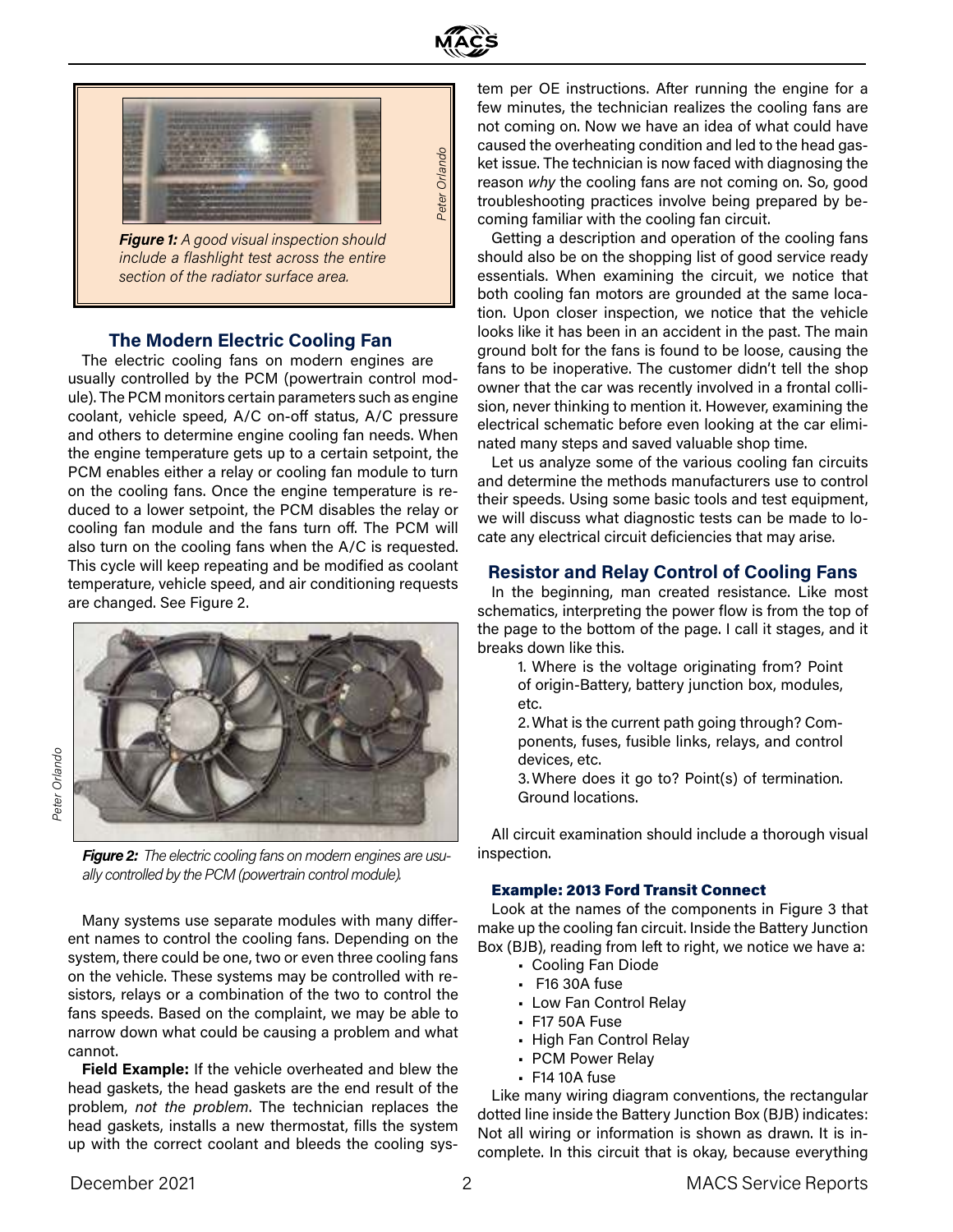



*Figure 1: A good visual inspection should include a flashlight test across the entire section of the radiator surface area.* 

#### **The Modern Electric Cooling Fan**

The electric cooling fans on modern engines are usually controlled by the PCM (powertrain control module). The PCM monitors certain parameters such as engine coolant, vehicle speed, A/C on-off status, A/C pressure and others to determine engine cooling fan needs. When the engine temperature gets up to a certain setpoint, the PCM enables either a relay or cooling fan module to turn on the cooling fans. Once the engine temperature is reduced to a lower setpoint, the PCM disables the relay or cooling fan module and the fans turn off. The PCM will also turn on the cooling fans when the A/C is requested. This cycle will keep repeating and be modified as coolant temperature, vehicle speed, and air conditioning requests are changed. See Figure 2.



*Figure 2: The electric cooling fans on modern engines are usually controlled by the PCM (powertrain control module).* 

Many systems use separate modules with many different names to control the cooling fans. Depending on the system, there could be one, two or even three cooling fans on the vehicle. These systems may be controlled with resistors, relays or a combination of the two to control the fans speeds. Based on the complaint, we may be able to narrow down what could be causing a problem and what cannot.

**Field Example:** If the vehicle overheated and blew the head gaskets, the head gaskets are the end result of the problem, *not the problem*. The technician replaces the head gaskets, installs a new thermostat, fills the system up with the correct coolant and bleeds the cooling system per OE instructions. After running the engine for a few minutes, the technician realizes the cooling fans are not coming on. Now we have an idea of what could have caused the overheating condition and led to the head gasket issue. The technician is now faced with diagnosing the reason *why* the cooling fans are not coming on. So, good troubleshooting practices involve being prepared by becoming familiar with the cooling fan circuit.

Getting a description and operation of the cooling fans should also be on the shopping list of good service ready essentials. When examining the circuit, we notice that both cooling fan motors are grounded at the same location. Upon closer inspection, we notice that the vehicle looks like it has been in an accident in the past. The main ground bolt for the fans is found to be loose, causing the fans to be inoperative. The customer didn't tell the shop owner that the car was recently involved in a frontal collision, never thinking to mention it. However, examining the electrical schematic before even looking at the car eliminated many steps and saved valuable shop time.

Let us analyze some of the various cooling fan circuits and determine the methods manufacturers use to control their speeds. Using some basic tools and test equipment, we will discuss what diagnostic tests can be made to locate any electrical circuit deficiencies that may arise.

#### **Resistor and Relay Control of Cooling Fans**

In the beginning, man created resistance. Like most schematics, interpreting the power flow is from the top of the page to the bottom of the page. I call it stages, and it breaks down like this.

> 1. Where is the voltage originating from? Point of origin-Battery, battery junction box, modules, etc.

> 2. What is the current path going through? Components, fuses, fusible links, relays, and control devices, etc.

> 3. Where does it go to? Point(s) of termination. Ground locations.

All circuit examination should include a thorough visual inspection.

#### Example: 2013 Ford Transit Connect

Look at the names of the components in Figure 3 that make up the cooling fan circuit. Inside the Battery Junction Box (BJB), reading from left to right, we notice we have a:

- Cooling Fan Diode
- F16 30A fuse
- Low Fan Control Relay
- F17 50A Fuse
- High Fan Control Relay
- PCM Power Relay
- F14 10A fuse

Like many wiring diagram conventions, the rectangular dotted line inside the Battery Junction Box (BJB) indicates: Not all wiring or information is shown as drawn. It is incomplete. In this circuit that is okay, because everything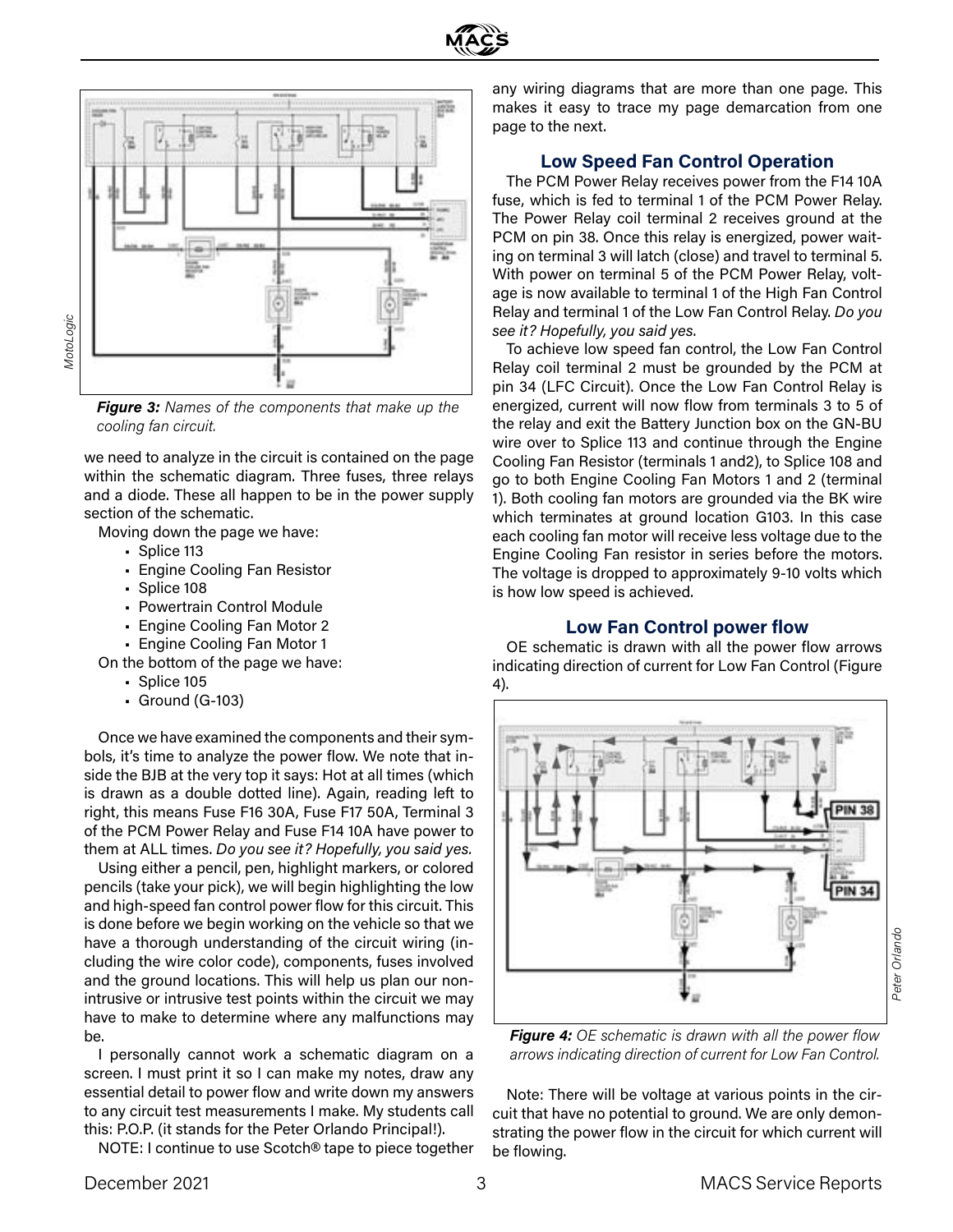



*Figure 3: Names of the components that make up the cooling fan circuit.* 

we need to analyze in the circuit is contained on the page within the schematic diagram. Three fuses, three relays and a diode. These all happen to be in the power supply section of the schematic.

Moving down the page we have:

- Splice 113
- Engine Cooling Fan Resistor
- Splice 108
- Powertrain Control Module
- Engine Cooling Fan Motor 2
- Engine Cooling Fan Motor 1
- On the bottom of the page we have:
	- Splice 105
	- Ground (G-103)

Once we have examined the components and their symbols, it's time to analyze the power flow. We note that inside the BJB at the very top it says: Hot at all times (which is drawn as a double dotted line). Again, reading left to right, this means Fuse F16 30A, Fuse F17 50A, Terminal 3 of the PCM Power Relay and Fuse F14 10A have power to them at ALL times. *Do you see it? Hopefully, you said yes.*

Using either a pencil, pen, highlight markers, or colored pencils (take your pick), we will begin highlighting the low and high-speed fan control power flow for this circuit. This is done before we begin working on the vehicle so that we have a thorough understanding of the circuit wiring (including the wire color code), components, fuses involved and the ground locations. This will help us plan our nonintrusive or intrusive test points within the circuit we may have to make to determine where any malfunctions may be.

I personally cannot work a schematic diagram on a screen. I must print it so I can make my notes, draw any essential detail to power flow and write down my answers to any circuit test measurements I make. My students call this: P.O.P. (it stands for the Peter Orlando Principal!).

NOTE: I continue to use Scotch® tape to piece together

any wiring diagrams that are more than one page. This makes it easy to trace my page demarcation from one page to the next.

#### **Low Speed Fan Control Operation**

The PCM Power Relay receives power from the F14 10A fuse, which is fed to terminal 1 of the PCM Power Relay. The Power Relay coil terminal 2 receives ground at the PCM on pin 38. Once this relay is energized, power waiting on terminal 3 will latch (close) and travel to terminal 5. With power on terminal 5 of the PCM Power Relay, voltage is now available to terminal 1 of the High Fan Control Relay and terminal 1 of the Low Fan Control Relay. *Do you see it? Hopefully, you said yes*.

To achieve low speed fan control, the Low Fan Control Relay coil terminal 2 must be grounded by the PCM at pin 34 (LFC Circuit). Once the Low Fan Control Relay is energized, current will now flow from terminals 3 to 5 of the relay and exit the Battery Junction box on the GN-BU wire over to Splice 113 and continue through the Engine Cooling Fan Resistor (terminals 1 and2), to Splice 108 and go to both Engine Cooling Fan Motors 1 and 2 (terminal 1). Both cooling fan motors are grounded via the BK wire which terminates at ground location G103. In this case each cooling fan motor will receive less voltage due to the Engine Cooling Fan resistor in series before the motors. The voltage is dropped to approximately 9-10 volts which is how low speed is achieved.

#### **Low Fan Control power flow**

OE schematic is drawn with all the power flow arrows indicating direction of current for Low Fan Control (Figure 4).



*Figure 4: OE schematic is drawn with all the power flow arrows indicating direction of current for Low Fan Control.* 

Note: There will be voltage at various points in the circuit that have no potential to ground. We are only demonstrating the power flow in the circuit for which current will be flowing.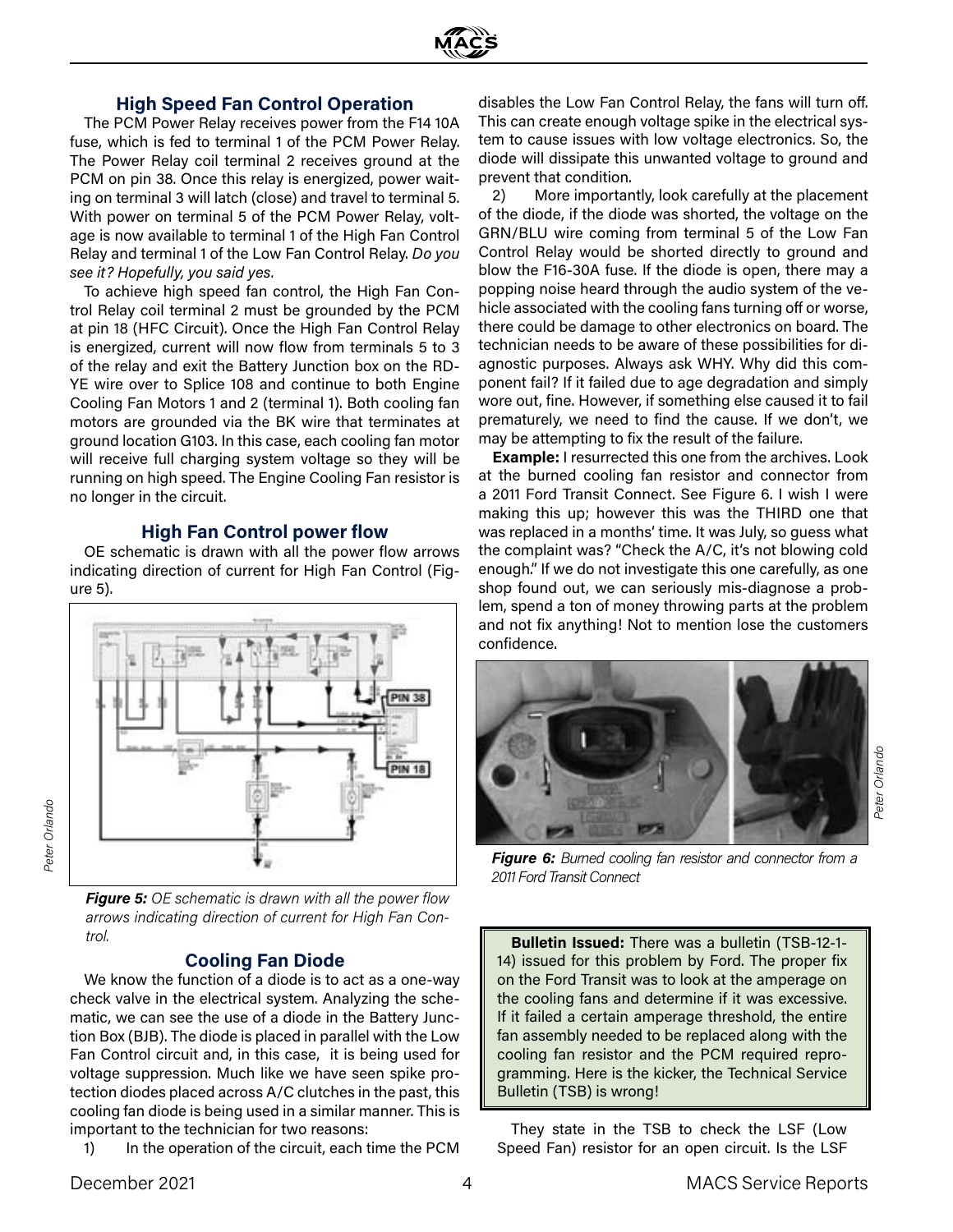

#### **High Speed Fan Control Operation**

The PCM Power Relay receives power from the F14 10A fuse, which is fed to terminal 1 of the PCM Power Relay. The Power Relay coil terminal 2 receives ground at the PCM on pin 38. Once this relay is energized, power waiting on terminal 3 will latch (close) and travel to terminal 5. With power on terminal 5 of the PCM Power Relay, voltage is now available to terminal 1 of the High Fan Control Relay and terminal 1 of the Low Fan Control Relay. *Do you see it? Hopefully, you said yes.* 

To achieve high speed fan control, the High Fan Control Relay coil terminal 2 must be grounded by the PCM at pin 18 (HFC Circuit). Once the High Fan Control Relay is energized, current will now flow from terminals 5 to 3 of the relay and exit the Battery Junction box on the RD-YE wire over to Splice 108 and continue to both Engine Cooling Fan Motors 1 and 2 (terminal 1). Both cooling fan motors are grounded via the BK wire that terminates at ground location G103. In this case, each cooling fan motor will receive full charging system voltage so they will be running on high speed. The Engine Cooling Fan resistor is no longer in the circuit.

#### **High Fan Control power flow**

OE schematic is drawn with all the power flow arrows indicating direction of current for High Fan Control (Figure 5).



*Figure 5: OE schematic is drawn with all the power flow arrows indicating direction of current for High Fan Control.* 

## **Cooling Fan Diode**

We know the function of a diode is to act as a one-way check valve in the electrical system. Analyzing the schematic, we can see the use of a diode in the Battery Junction Box (BJB). The diode is placed in parallel with the Low Fan Control circuit and, in this case, it is being used for voltage suppression. Much like we have seen spike protection diodes placed across A/C clutches in the past, this cooling fan diode is being used in a similar manner. This is important to the technician for two reasons:

1) In the operation of the circuit, each time the PCM

disables the Low Fan Control Relay, the fans will turn off. This can create enough voltage spike in the electrical system to cause issues with low voltage electronics. So, the diode will dissipate this unwanted voltage to ground and prevent that condition.

2) More importantly, look carefully at the placement of the diode, if the diode was shorted, the voltage on the GRN/BLU wire coming from terminal 5 of the Low Fan Control Relay would be shorted directly to ground and blow the F16-30A fuse. If the diode is open, there may a popping noise heard through the audio system of the vehicle associated with the cooling fans turning off or worse, there could be damage to other electronics on board. The technician needs to be aware of these possibilities for diagnostic purposes. Always ask WHY. Why did this component fail? If it failed due to age degradation and simply wore out, fine. However, if something else caused it to fail prematurely, we need to find the cause. If we don't, we may be attempting to fix the result of the failure.

**Example:** I resurrected this one from the archives. Look at the burned cooling fan resistor and connector from a 2011 Ford Transit Connect. See Figure 6. I wish I were making this up; however this was the THIRD one that was replaced in a months' time. It was July, so guess what the complaint was? "Check the A/C, it's not blowing cold enough." If we do not investigate this one carefully, as one shop found out, we can seriously mis-diagnose a problem, spend a ton of money throwing parts at the problem and not fix anything! Not to mention lose the customers confidence.



*Figure 6: Burned cooling fan resistor and connector from a 2011 Ford Transit Connect*

**Bulletin Issued:** There was a bulletin (TSB-12-1- 14) issued for this problem by Ford. The proper fix on the Ford Transit was to look at the amperage on the cooling fans and determine if it was excessive. If it failed a certain amperage threshold, the entire fan assembly needed to be replaced along with the cooling fan resistor and the PCM required reprogramming. Here is the kicker, the Technical Service Bulletin (TSB) is wrong!

They state in the TSB to check the LSF (Low Speed Fan) resistor for an open circuit. Is the LSF

*Peter Orlando*

Peter Orlando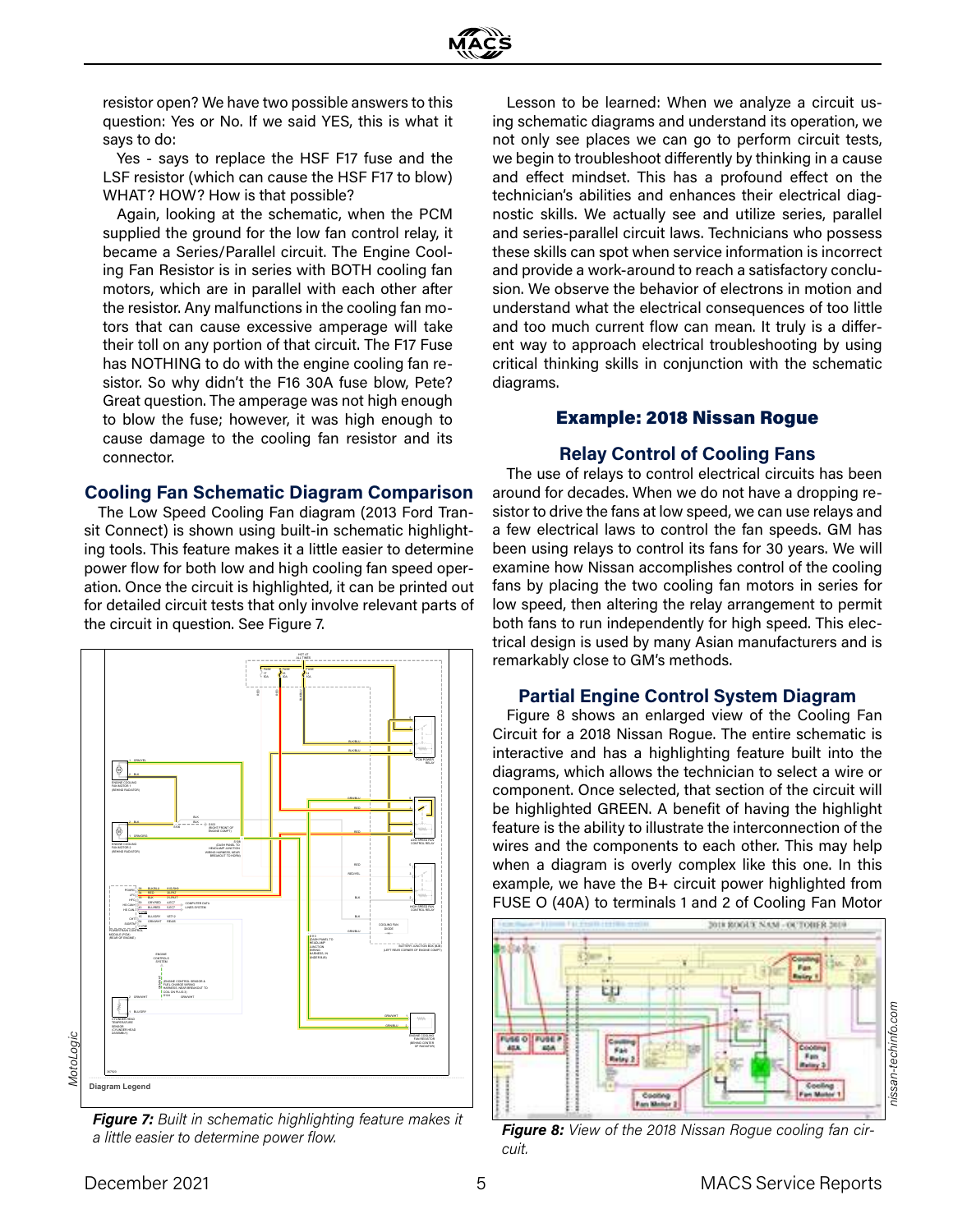resistor open? We have two possible answers to this question: Yes or No. If we said YES, this is what it says to do:

Yes - says to replace the HSF F17 fuse and the LSF resistor (which can cause the HSF F17 to blow) WHAT? HOW? How is that possible?

Again, looking at the schematic, when the PCM supplied the ground for the low fan control relay, it became a Series/Parallel circuit. The Engine Cooling Fan Resistor is in series with BOTH cooling fan motors, which are in parallel with each other after the resistor. Any malfunctions in the cooling fan motors that can cause excessive amperage will take their toll on any portion of that circuit. The F17 Fuse has NOTHING to do with the engine cooling fan resistor. So why didn't the F16 30A fuse blow, Pete? Great question. The amperage was not high enough to blow the fuse; however, it was high enough to cause damage to the cooling fan resistor and its connector.

#### **Cooling Fan Schematic Diagram Comparison**

The Low Speed Cooling Fan diagram (2013 Ford Transit Connect) is shown using built-in schematic highlighting tools. This feature makes it a little easier to determine power flow for both low and high cooling fan speed operation. Once the circuit is highlighted, it can be printed out for detailed circuit tests that only involve relevant parts of the circuit in question. See Figure 7.



*Figure 7: Built in schematic highlighting feature makes it a little easier to determine power flow.* 

Lesson to be learned: When we analyze a circuit using schematic diagrams and understand its operation, we not only see places we can go to perform circuit tests, we begin to troubleshoot differently by thinking in a cause and effect mindset. This has a profound effect on the technician's abilities and enhances their electrical diagnostic skills. We actually see and utilize series, parallel and series-parallel circuit laws. Technicians who possess these skills can spot when service information is incorrect and provide a work-around to reach a satisfactory conclusion. We observe the behavior of electrons in motion and understand what the electrical consequences of too little and too much current flow can mean. It truly is a different way to approach electrical troubleshooting by using critical thinking skills in conjunction with the schematic diagrams.

## Example: 2018 Nissan Rogue

### **Relay Control of Cooling Fans**

The use of relays to control electrical circuits has been around for decades. When we do not have a dropping resistor to drive the fans at low speed, we can use relays and a few electrical laws to control the fan speeds. GM has been using relays to control its fans for 30 years. We will examine how Nissan accomplishes control of the cooling fans by placing the two cooling fan motors in series for low speed, then altering the relay arrangement to permit both fans to run independently for high speed. This electrical design is used by many Asian manufacturers and is remarkably close to GM's methods.

#### **Partial Engine Control System Diagram**

Figure 8 shows an enlarged view of the Cooling Fan Circuit for a 2018 Nissan Rogue. The entire schematic is interactive and has a highlighting feature built into the diagrams, which allows the technician to select a wire or component. Once selected, that section of the circuit will be highlighted GREEN. A benefit of having the highlight feature is the ability to illustrate the interconnection of the wires and the components to each other. This may help when a diagram is overly complex like this one. In this example, we have the B+ circuit power highlighted from FUSE O (40A) to terminals 1 and 2 of Cooling Fan Motor



*Figure 8: View of the 2018 Nissan Rogue cooling fan circuit.*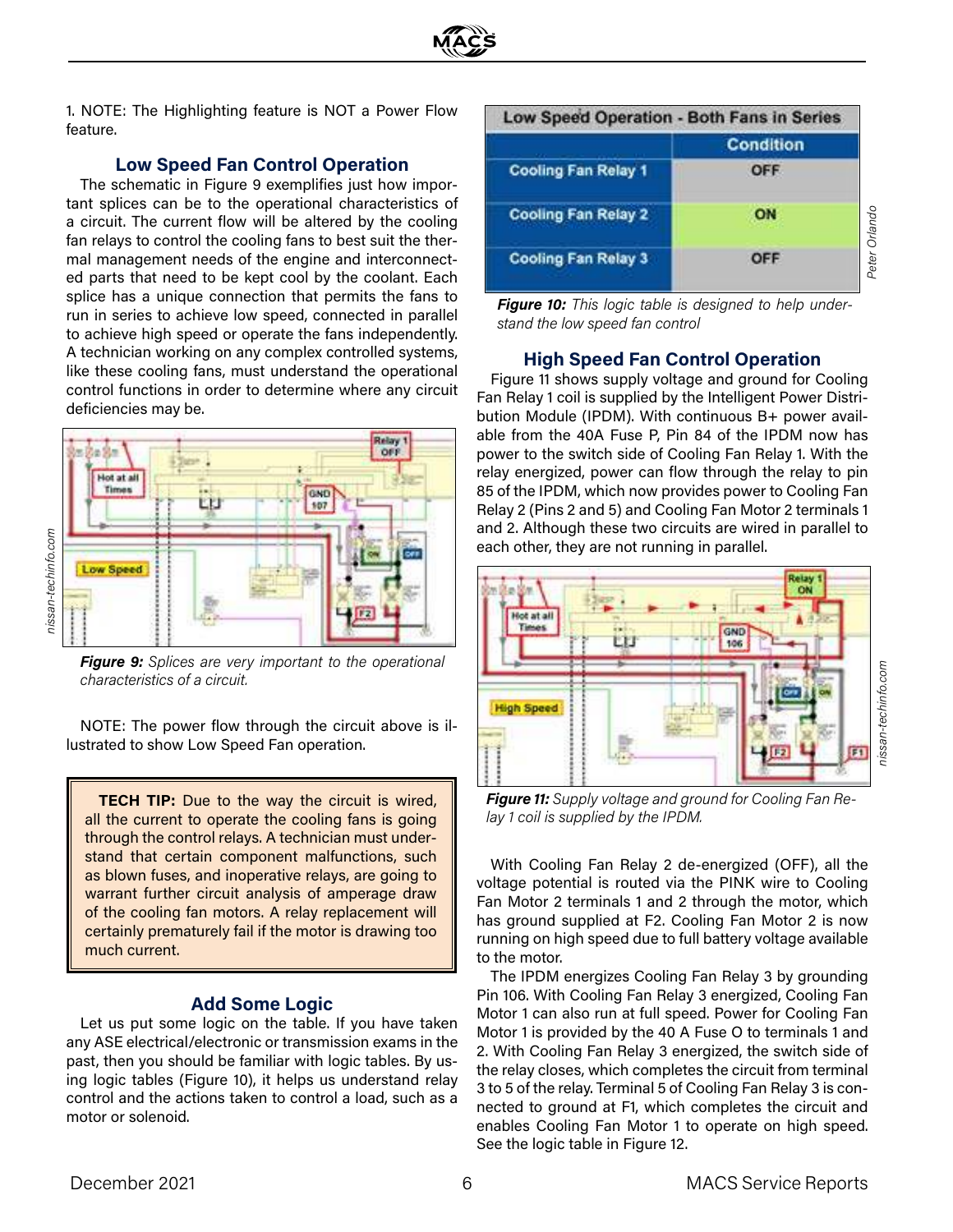

1. NOTE: The Highlighting feature is NOT a Power Flow feature.

## **Low Speed Fan Control Operation**

The schematic in Figure 9 exemplifies just how important splices can be to the operational characteristics of a circuit. The current flow will be altered by the cooling fan relays to control the cooling fans to best suit the thermal management needs of the engine and interconnected parts that need to be kept cool by the coolant. Each splice has a unique connection that permits the fans to run in series to achieve low speed, connected in parallel to achieve high speed or operate the fans independently. A technician working on any complex controlled systems, like these cooling fans, must understand the operational control functions in order to determine where any circuit deficiencies may be.



*Figure 9: Splices are very important to the operational characteristics of a circuit.* 

NOTE: The power flow through the circuit above is illustrated to show Low Speed Fan operation.

**TECH TIP:** Due to the way the circuit is wired, all the current to operate the cooling fans is going through the control relays. A technician must understand that certain component malfunctions, such as blown fuses, and inoperative relays, are going to warrant further circuit analysis of amperage draw of the cooling fan motors. A relay replacement will certainly prematurely fail if the motor is drawing too much current.

#### **Add Some Logic**

Let us put some logic on the table. If you have taken any ASE electrical/electronic or transmission exams in the past, then you should be familiar with logic tables. By using logic tables (Figure 10), it helps us understand relay control and the actions taken to control a load, such as a motor or solenoid.



*Figure 10: This logic table is designed to help understand the low speed fan control*

### **High Speed Fan Control Operation**

Figure 11 shows supply voltage and ground for Cooling Fan Relay 1 coil is supplied by the Intelligent Power Distribution Module (IPDM). With continuous B+ power available from the 40A Fuse P, Pin 84 of the IPDM now has power to the switch side of Cooling Fan Relay 1. With the relay energized, power can flow through the relay to pin 85 of the IPDM, which now provides power to Cooling Fan Relay 2 (Pins 2 and 5) and Cooling Fan Motor 2 terminals 1 and 2. Although these two circuits are wired in parallel to each other, they are not running in parallel.



*Figure 11: Supply voltage and ground for Cooling Fan Relay 1 coil is supplied by the IPDM.* 

With Cooling Fan Relay 2 de-energized (OFF), all the voltage potential is routed via the PINK wire to Cooling Fan Motor 2 terminals 1 and 2 through the motor, which has ground supplied at F2. Cooling Fan Motor 2 is now running on high speed due to full battery voltage available to the motor.

The IPDM energizes Cooling Fan Relay 3 by grounding Pin 106. With Cooling Fan Relay 3 energized, Cooling Fan Motor 1 can also run at full speed. Power for Cooling Fan Motor 1 is provided by the 40 A Fuse O to terminals 1 and 2. With Cooling Fan Relay 3 energized, the switch side of the relay closes, which completes the circuit from terminal 3 to 5 of the relay. Terminal 5 of Cooling Fan Relay 3 is connected to ground at F1, which completes the circuit and enables Cooling Fan Motor 1 to operate on high speed. See the logic table in Figure 12.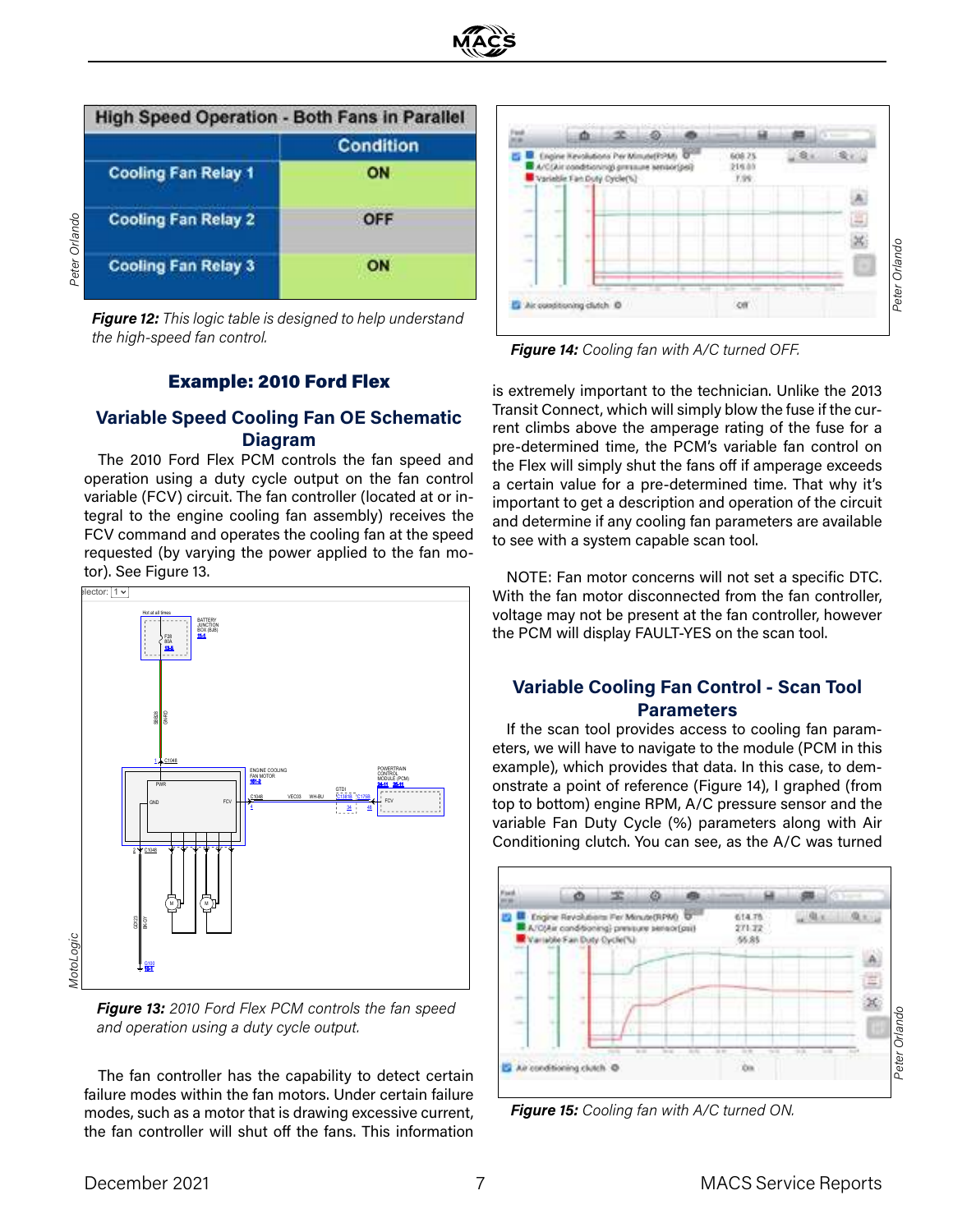|               | <b>High Speed Operation - Both Fans in Parallel</b> |           |
|---------------|-----------------------------------------------------|-----------|
|               |                                                     | Condition |
|               | <b>Cooling Fan Relay 1</b>                          | ON        |
|               | <b>Cooling Fan Relay 2</b>                          | OFF       |
| Peter Orlando | <b>Cooling Fan Relay 3</b>                          | ON        |

*Figure 12: This logic table is designed to help understand the high-speed fan control.* 

#### Example: 2010 Ford Flex

## **Variable Speed Cooling Fan OE Schematic Diagram**

The 2010 Ford Flex PCM controls the fan speed and operation using a duty cycle output on the fan control variable (FCV) circuit. The fan controller (located at or integral to the engine cooling fan assembly) receives the FCV command and operates the cooling fan at the speed requested (by varying the power applied to the fan motor). See Figure 13.



*Figure 13: 2010 Ford Flex PCM controls the fan speed and operation using a duty cycle output.* 

The fan controller has the capability to detect certain failure modes within the fan motors. Under certain failure modes, such as a motor that is drawing excessive current, the fan controller will shut off the fans. This information



*Figure 14: Cooling fan with A/C turned OFF.* 

is extremely important to the technician. Unlike the 2013 Transit Connect, which will simply blow the fuse if the current climbs above the amperage rating of the fuse for a pre-determined time, the PCM's variable fan control on the Flex will simply shut the fans off if amperage exceeds a certain value for a pre-determined time. That why it's important to get a description and operation of the circuit and determine if any cooling fan parameters are available to see with a system capable scan tool.

NOTE: Fan motor concerns will not set a specific DTC. With the fan motor disconnected from the fan controller, voltage may not be present at the fan controller, however the PCM will display FAULT-YES on the scan tool.

### **Variable Cooling Fan Control - Scan Tool Parameters**

If the scan tool provides access to cooling fan parameters, we will have to navigate to the module (PCM in this example), which provides that data. In this case, to demonstrate a point of reference (Figure 14), I graphed (from top to bottom) engine RPM, A/C pressure sensor and the variable Fan Duty Cycle (%) parameters along with Air Conditioning clutch. You can see, as the A/C was turned



*Figure 15: Cooling fan with A/C turned ON.*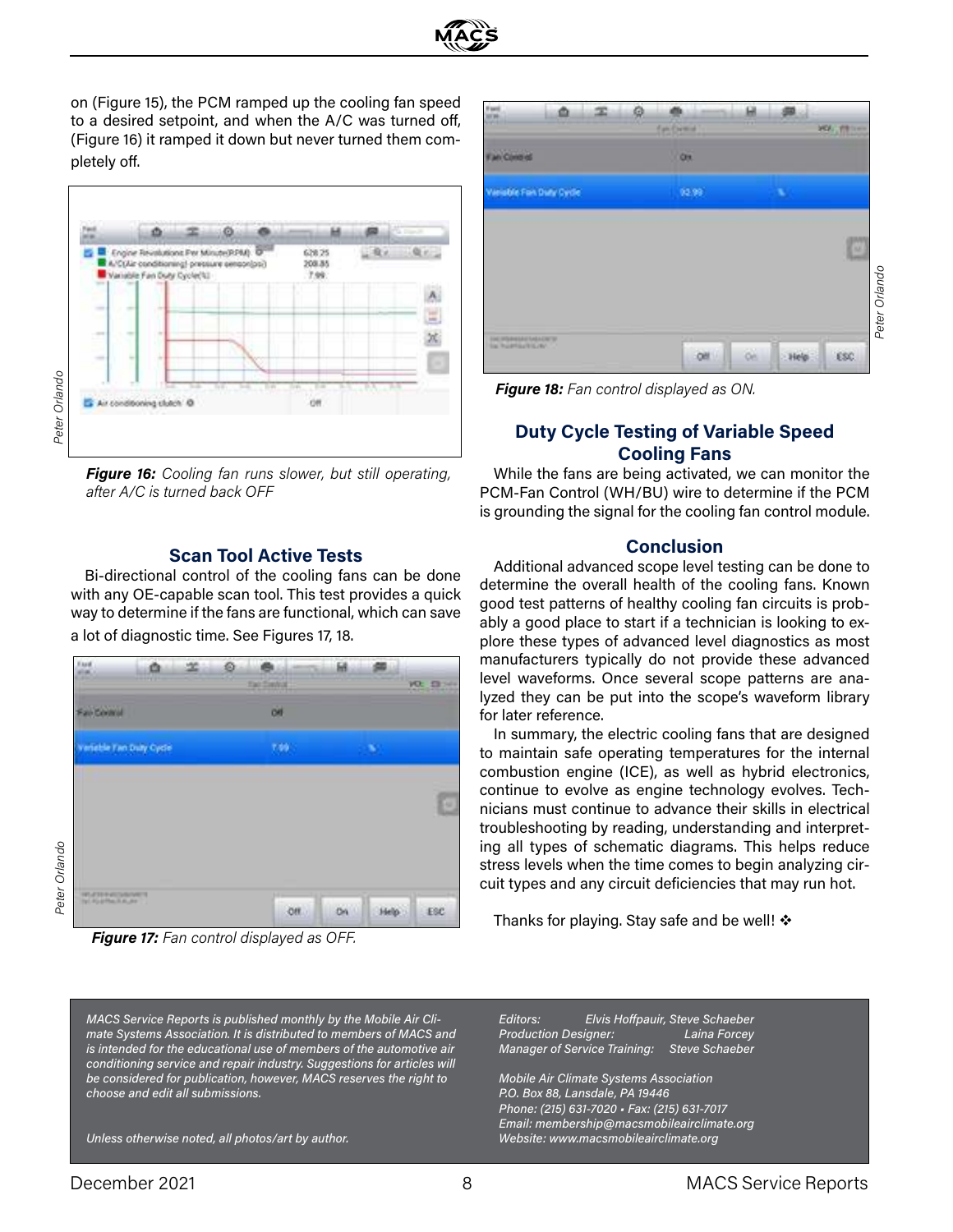

on (Figure 15), the PCM ramped up the cooling fan speed to a desired setpoint, and when the A/C was turned off, (Figure 16) it ramped it down but never turned them completely off.



*Figure 16: Cooling fan runs slower, but still operating, after A/C is turned back OFF*

#### **Scan Tool Active Tests**

Bi-directional control of the cooling fans can be done with any OE-capable scan tool. This test provides a quick way to determine if the fans are functional, which can save a lot of diagnostic time. See Figures 17, 18.



*Figure 17: Fan control displayed as OFF.*

*MACS Service Reports is published monthly by the Mobile Air Climate Systems Association. It is distributed to members of MACS and is intended for the educational use of members of the automotive air conditioning service and repair industry. Suggestions for articles will be considered for publication, however, MACS reserves the right to choose and edit all submissions.*

*Unless otherwise noted, all photos/art by author.* 

| Ġ                     |                          | œ | à |                    | в   |   |                 |               |
|-----------------------|--------------------------|---|---|--------------------|-----|---|-----------------|---------------|
|                       |                          |   |   | <b>FairDential</b> |     |   | <b>VOLUTION</b> |               |
| <b>Fan Contrat</b>    |                          |   |   | <b>OR</b>          |     |   |                 |               |
|                       | Variable Fort Daty Cycle |   |   | 92.99              |     | w |                 |               |
|                       |                          |   |   |                    |     |   |                 |               |
|                       |                          |   |   |                    |     |   | e               |               |
|                       |                          |   |   |                    |     |   |                 | Peter Orlando |
|                       |                          |   |   |                    |     |   |                 |               |
| <b>DE PERSONALITA</b> |                          |   |   | œ                  | öè. |   | ESC.            |               |

*Figure 18: Fan control displayed as ON.* 

## **Duty Cycle Testing of Variable Speed Cooling Fans**

While the fans are being activated, we can monitor the PCM-Fan Control (WH/BU) wire to determine if the PCM is grounding the signal for the cooling fan control module.

#### **Conclusion**

Additional advanced scope level testing can be done to determine the overall health of the cooling fans. Known good test patterns of healthy cooling fan circuits is probably a good place to start if a technician is looking to explore these types of advanced level diagnostics as most manufacturers typically do not provide these advanced level waveforms. Once several scope patterns are analyzed they can be put into the scope's waveform library for later reference.

In summary, the electric cooling fans that are designed to maintain safe operating temperatures for the internal combustion engine (ICE), as well as hybrid electronics, continue to evolve as engine technology evolves. Technicians must continue to advance their skills in electrical troubleshooting by reading, understanding and interpreting all types of schematic diagrams. This helps reduce stress levels when the time comes to begin analyzing circuit types and any circuit deficiencies that may run hot.

Thanks for playing. Stay safe and be well!  $\mathbf{\hat{*}}$ 

*Editors: Elvis Hoffpauir, Steve Schaeber Production Designer: Laina Forcey Manager of Service Training: Steve Schaeber*

*Mobile Air Climate Systems Association P.O. Box 88, Lansdale, PA 19446 Phone: (215) 631-7020 • Fax: (215) 631-7017 Email: membership@macsmobileairclimate.org Website: www.macsmobileairclimate.org*

*Peter Orlando*